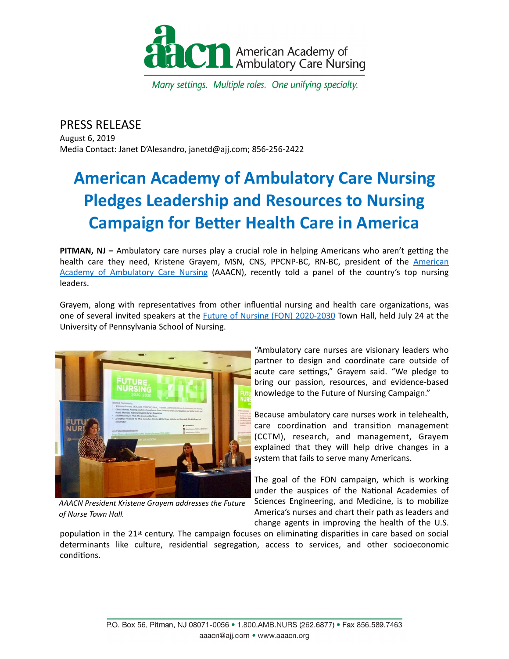

Many settings. Multiple roles. One unifying specialty.

## PRESS RELEASE

August 6, 2019 Media Contact: Janet D'Alesandro, janetd@ajj.com; 856-256-2422

# **American Academy of Ambulatory Care Nursing Pledges Leadership and Resources to Nursing Campaign for Better Health Care in America**

**PITMAN, NJ** – Ambulatory care nurses play a crucial role in helping Americans who aren't getting the health care they need, Kristene Grayem, MSN, CNS, PPCNP-BC, RN-BC, president of the [American](http://www.aaacn.org/) Academy of Ambulatory Care Nursing (AAACN), recently told a panel of the country's top nursing leaders. 

Grayem, along with representatives from other influential nursing and health care organizations, was one of several invited speakers at the **Future of Nursing (FON)** 2020-2030 Town Hall, held July 24 at the University of Pennsylvania School of Nursing.



*AAACN President Kristene Grayem addresses the Future of Nurse Town Hall.*

"Ambulatory care nurses are visionary leaders who partner to design and coordinate care outside of acute care settings," Grayem said. "We pledge to bring our passion, resources, and evidence-based knowledge to the Future of Nursing Campaign."

Because ambulatory care nurses work in telehealth, care coordination and transition management (CCTM), research, and management, Grayem explained that they will help drive changes in a system that fails to serve many Americans.

The goal of the FON campaign, which is working under the auspices of the National Academies of Sciences Engineering, and Medicine, is to mobilize America's nurses and chart their path as leaders and change agents in improving the health of the U.S.

population in the  $21<sup>st</sup>$  century. The campaign focuses on eliminating disparities in care based on social determinants like culture, residential segregation, access to services, and other socioeconomic conditions.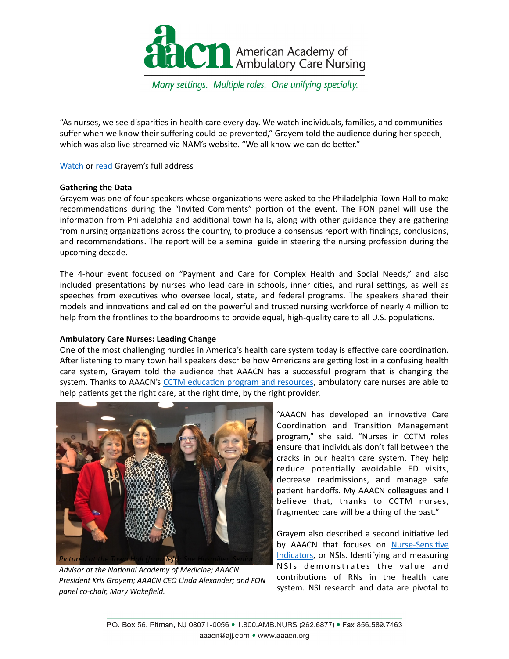

Many settings. Multiple roles. One unifying specialty.

"As nurses, we see disparities in health care every day. We watch individuals, families, and communities suffer when we know their suffering could be prevented," Grayem told the audience during her speech, which was also live streamed via NAM's website. "We all know we can do better."

Watch or read Grayem's full address

#### **Gathering the Data**

Grayem was one of four speakers whose organizations were asked to the Philadelphia Town Hall to make recommendations during the "Invited Comments" portion of the event. The FON panel will use the information from Philadelphia and additional town halls, along with other guidance they are gathering from nursing organizations across the country, to produce a consensus report with findings, conclusions, and recommendations. The report will be a seminal guide in steering the nursing profession during the upcoming decade. 

The 4-hour event focused on "Payment and Care for Complex Health and Social Needs," and also included presentations by nurses who lead care in schools, inner cities, and rural settings, as well as speeches from executives who oversee local, state, and federal programs. The speakers shared their models and innovations and called on the powerful and trusted nursing workforce of nearly 4 million to help from the frontlines to the boardrooms to provide equal, high-quality care to all U.S. populations.

### **Ambulatory Care Nurses: Leading Change**

One of the most challenging hurdles in America's health care system today is effective care coordination. After listening to many town hall speakers describe how Americans are getting lost in a confusing health care system, Grayem told the audience that AAACN has a successful program that is changing the system. Thanks to AAACN's CCTM education program and resources, ambulatory care nurses are able to help patients get the right care, at the right time, by the right provider.



Advisor at the National Academy of Medicine; AAACN President Kris Grayem; AAACN CEO Linda Alexander; and FON panel co-chair, Mary Wakefield.

"AAACN has developed an innovative Care Coordination and Transition Management program," she said. "Nurses in CCTM roles ensure that individuals don't fall between the cracks in our health care system. They help reduce potentially avoidable ED visits, decrease readmissions, and manage safe patient handoffs. My AAACN colleagues and I believe that, thanks to CCTM nurses, fragmented care will be a thing of the past."

Grayem also described a second initiative led by AAACN that focuses on Nurse-Sensitive [Indicators,](https://www.aaacn.org/NSIReport) or NSIs. Identifying and measuring NSIs demonstrates the value and contributions of RNs in the health care system. NSI research and data are pivotal to